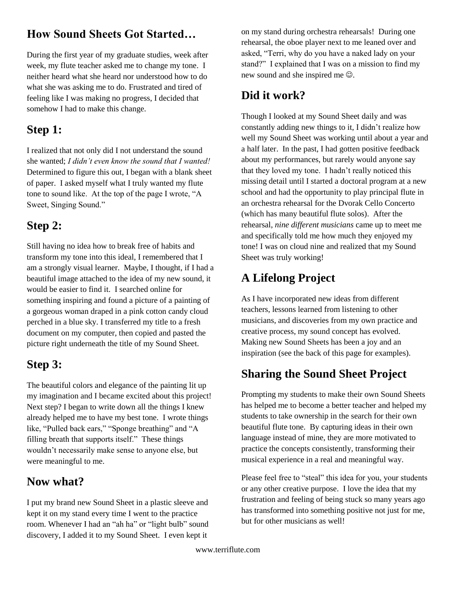#### **How Sound Sheets Got Started…**

During the first year of my graduate studies, week after week, my flute teacher asked me to change my tone. I neither heard what she heard nor understood how to do what she was asking me to do. Frustrated and tired of feeling like I was making no progress, I decided that somehow I had to make this change.

## **Step 1:**

I realized that not only did I not understand the sound she wanted; *I didn't even know the sound that I wanted!* Determined to figure this out, I began with a blank sheet of paper. I asked myself what I truly wanted my flute tone to sound like. At the top of the page I wrote, "A Sweet, Singing Sound."

# **Step 2:**

Still having no idea how to break free of habits and transform my tone into this ideal, I remembered that I am a strongly visual learner. Maybe, I thought, if I had a beautiful image attached to the idea of my new sound, it would be easier to find it. I searched online for something inspiring and found a picture of a painting of a gorgeous woman draped in a pink cotton candy cloud perched in a blue sky. I transferred my title to a fresh document on my computer, then copied and pasted the picture right underneath the title of my Sound Sheet.

## **Step 3:**

The beautiful colors and elegance of the painting lit up my imagination and I became excited about this project! Next step? I began to write down all the things I knew already helped me to have my best tone. I wrote things like, "Pulled back ears," "Sponge breathing" and "A filling breath that supports itself." These things wouldn't necessarily make sense to anyone else, but were meaningful to me.

## **Now what?**

I put my brand new Sound Sheet in a plastic sleeve and kept it on my stand every time I went to the practice room. Whenever I had an "ah ha" or "light bulb" sound discovery, I added it to my Sound Sheet. I even kept it

on my stand during orchestra rehearsals! During one rehearsal, the oboe player next to me leaned over and asked, "Terri, why do you have a naked lady on your stand?" I explained that I was on a mission to find my new sound and she inspired me  $\odot$ .

### **Did it work?**

Though I looked at my Sound Sheet daily and was constantly adding new things to it, I didn't realize how well my Sound Sheet was working until about a year and a half later. In the past, I had gotten positive feedback about my performances, but rarely would anyone say that they loved my tone. I hadn't really noticed this missing detail until I started a doctoral program at a new school and had the opportunity to play principal flute in an orchestra rehearsal for the Dvorak Cello Concerto (which has many beautiful flute solos). After the rehearsal, *nine different musicians* came up to meet me and specifically told me how much they enjoyed my tone! I was on cloud nine and realized that my Sound Sheet was truly working!

# **A Lifelong Project**

As I have incorporated new ideas from different teachers, lessons learned from listening to other musicians, and discoveries from my own practice and creative process, my sound concept has evolved. Making new Sound Sheets has been a joy and an inspiration (see the back of this page for examples).

## **Sharing the Sound Sheet Project**

Prompting my students to make their own Sound Sheets has helped me to become a better teacher and helped my students to take ownership in the search for their own beautiful flute tone. By capturing ideas in their own language instead of mine, they are more motivated to practice the concepts consistently, transforming their musical experience in a real and meaningful way.

Please feel free to "steal" this idea for you, your students or any other creative purpose. I love the idea that my frustration and feeling of being stuck so many years ago has transformed into something positive not just for me, but for other musicians as well!